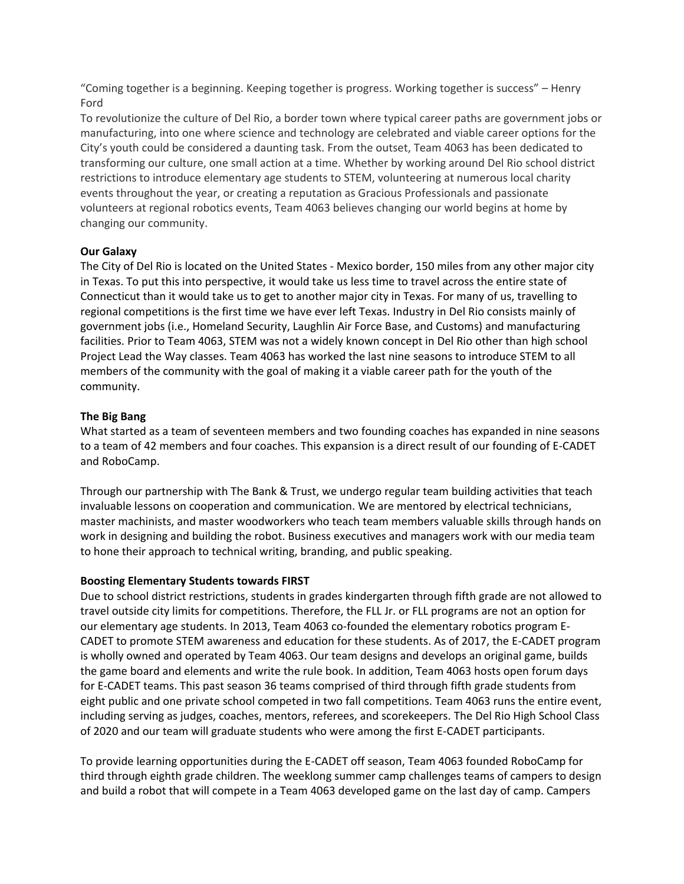"Coming together is a beginning. Keeping together is progress. Working together is success" – Henry Ford

To revolutionize the culture of Del Rio, a border town where typical career paths are government jobs or manufacturing, into one where science and technology are celebrated and viable career options for the City's youth could be considered a daunting task. From the outset, Team 4063 has been dedicated to transforming our culture, one small action at a time. Whether by working around Del Rio school district restrictions to introduce elementary age students to STEM, volunteering at numerous local charity events throughout the year, or creating a reputation as Gracious Professionals and passionate volunteers at regional robotics events, Team 4063 believes changing our world begins at home by changing our community.

## **Our Galaxy**

The City of Del Rio is located on the United States - Mexico border, 150 miles from any other major city in Texas. To put this into perspective, it would take us less time to travel across the entire state of Connecticut than it would take us to get to another major city in Texas. For many of us, travelling to regional competitions is the first time we have ever left Texas. Industry in Del Rio consists mainly of government jobs (i.e., Homeland Security, Laughlin Air Force Base, and Customs) and manufacturing facilities. Prior to Team 4063, STEM was not a widely known concept in Del Rio other than high school Project Lead the Way classes. Team 4063 has worked the last nine seasons to introduce STEM to all members of the community with the goal of making it a viable career path for the youth of the community.

## **The Big Bang**

What started as a team of seventeen members and two founding coaches has expanded in nine seasons to a team of 42 members and four coaches. This expansion is a direct result of our founding of E-CADET and RoboCamp.

Through our partnership with The Bank & Trust, we undergo regular team building activities that teach invaluable lessons on cooperation and communication. We are mentored by electrical technicians, master machinists, and master woodworkers who teach team members valuable skills through hands on work in designing and building the robot. Business executives and managers work with our media team to hone their approach to technical writing, branding, and public speaking.

### **Boosting Elementary Students towards FIRST**

Due to school district restrictions, students in grades kindergarten through fifth grade are not allowed to travel outside city limits for competitions. Therefore, the FLL Jr. or FLL programs are not an option for our elementary age students. In 2013, Team 4063 co-founded the elementary robotics program E-CADET to promote STEM awareness and education for these students. As of 2017, the E-CADET program is wholly owned and operated by Team 4063. Our team designs and develops an original game, builds the game board and elements and write the rule book. In addition, Team 4063 hosts open forum days for E-CADET teams. This past season 36 teams comprised of third through fifth grade students from eight public and one private school competed in two fall competitions. Team 4063 runs the entire event, including serving as judges, coaches, mentors, referees, and scorekeepers. The Del Rio High School Class of 2020 and our team will graduate students who were among the first E-CADET participants.

To provide learning opportunities during the E-CADET off season, Team 4063 founded RoboCamp for third through eighth grade children. The weeklong summer camp challenges teams of campers to design and build a robot that will compete in a Team 4063 developed game on the last day of camp. Campers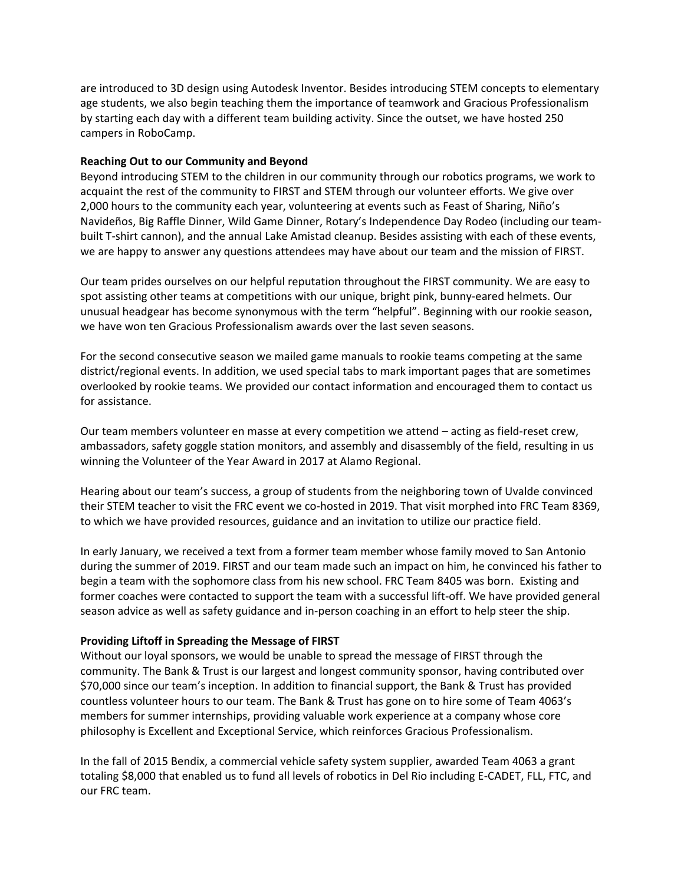are introduced to 3D design using Autodesk Inventor. Besides introducing STEM concepts to elementary age students, we also begin teaching them the importance of teamwork and Gracious Professionalism by starting each day with a different team building activity. Since the outset, we have hosted 250 campers in RoboCamp.

## **Reaching Out to our Community and Beyond**

Beyond introducing STEM to the children in our community through our robotics programs, we work to acquaint the rest of the community to FIRST and STEM through our volunteer efforts. We give over 2,000 hours to the community each year, volunteering at events such as Feast of Sharing, Niño's Navideños, Big Raffle Dinner, Wild Game Dinner, Rotary's Independence Day Rodeo (including our teambuilt T-shirt cannon), and the annual Lake Amistad cleanup. Besides assisting with each of these events, we are happy to answer any questions attendees may have about our team and the mission of FIRST.

Our team prides ourselves on our helpful reputation throughout the FIRST community. We are easy to spot assisting other teams at competitions with our unique, bright pink, bunny-eared helmets. Our unusual headgear has become synonymous with the term "helpful". Beginning with our rookie season, we have won ten Gracious Professionalism awards over the last seven seasons.

For the second consecutive season we mailed game manuals to rookie teams competing at the same district/regional events. In addition, we used special tabs to mark important pages that are sometimes overlooked by rookie teams. We provided our contact information and encouraged them to contact us for assistance.

Our team members volunteer en masse at every competition we attend – acting as field-reset crew, ambassadors, safety goggle station monitors, and assembly and disassembly of the field, resulting in us winning the Volunteer of the Year Award in 2017 at Alamo Regional.

Hearing about our team's success, a group of students from the neighboring town of Uvalde convinced their STEM teacher to visit the FRC event we co-hosted in 2019. That visit morphed into FRC Team 8369, to which we have provided resources, guidance and an invitation to utilize our practice field.

In early January, we received a text from a former team member whose family moved to San Antonio during the summer of 2019. FIRST and our team made such an impact on him, he convinced his father to begin a team with the sophomore class from his new school. FRC Team 8405 was born. Existing and former coaches were contacted to support the team with a successful lift-off. We have provided general season advice as well as safety guidance and in-person coaching in an effort to help steer the ship.

### **Providing Liftoff in Spreading the Message of FIRST**

Without our loyal sponsors, we would be unable to spread the message of FIRST through the community. The Bank & Trust is our largest and longest community sponsor, having contributed over \$70,000 since our team's inception. In addition to financial support, the Bank & Trust has provided countless volunteer hours to our team. The Bank & Trust has gone on to hire some of Team 4063's members for summer internships, providing valuable work experience at a company whose core philosophy is Excellent and Exceptional Service, which reinforces Gracious Professionalism.

In the fall of 2015 Bendix, a commercial vehicle safety system supplier, awarded Team 4063 a grant totaling \$8,000 that enabled us to fund all levels of robotics in Del Rio including E-CADET, FLL, FTC, and our FRC team.